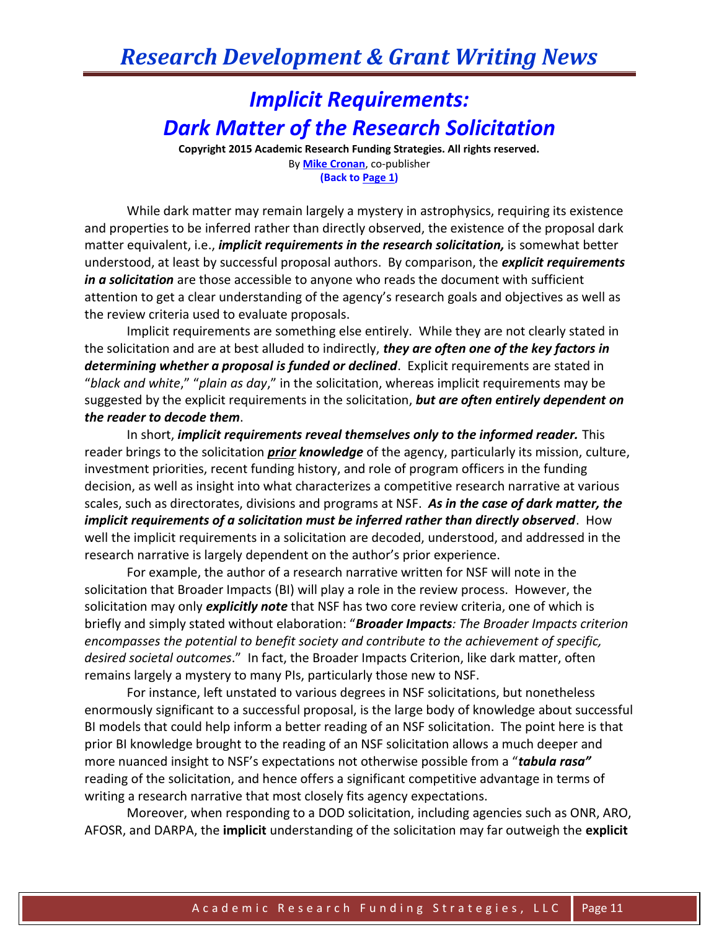## *Research Development & Grant Writing News*

## *Implicit Requirements: Dark Matter of the Research Solicitation*

**Copyright 2015 Academic Research Funding Strategies. All rights reserved.** By **[Mike Cronan](mailto:mjcronan@gmail.com)**, co-publisher **(Back to Page 1)**

While dark matter may remain largely a mystery in astrophysics, requiring its existence and properties to be inferred rather than directly observed, the existence of the proposal dark matter equivalent, i.e., *implicit requirements in the research solicitation,* is somewhat better understood, at least by successful proposal authors. By comparison, the *explicit requirements in a solicitation* are those accessible to anyone who reads the document with sufficient attention to get a clear understanding of the agency's research goals and objectives as well as the review criteria used to evaluate proposals.

Implicit requirements are something else entirely. While they are not clearly stated in the solicitation and are at best alluded to indirectly, *they are often one of the key factors in determining whether a proposal is funded or declined*. Explicit requirements are stated in "*black and white*," "*plain as day*," in the solicitation, whereas implicit requirements may be suggested by the explicit requirements in the solicitation, *but are often entirely dependent on the reader to decode them*.

In short, *implicit requirements reveal themselves only to the informed reader.* This reader brings to the solicitation *prior knowledge* of the agency, particularly its mission, culture, investment priorities, recent funding history, and role of program officers in the funding decision, as well as insight into what characterizes a competitive research narrative at various scales, such as directorates, divisions and programs at NSF. *As in the case of dark matter, the implicit requirements of a solicitation must be inferred rather than directly observed*. How well the implicit requirements in a solicitation are decoded, understood, and addressed in the research narrative is largely dependent on the author's prior experience.

For example, the author of a research narrative written for NSF will note in the solicitation that Broader Impacts (BI) will play a role in the review process. However, the solicitation may only *explicitly note* that NSF has two core review criteria, one of which is briefly and simply stated without elaboration: "*Broader Impacts: The Broader Impacts criterion encompasses the potential to benefit society and contribute to the achievement of specific, desired societal outcomes*." In fact, the Broader Impacts Criterion, like dark matter, often remains largely a mystery to many PIs, particularly those new to NSF.

For instance, left unstated to various degrees in NSF solicitations, but nonetheless enormously significant to a successful proposal, is the large body of knowledge about successful BI models that could help inform a better reading of an NSF solicitation. The point here is that prior BI knowledge brought to the reading of an NSF solicitation allows a much deeper and more nuanced insight to NSF's expectations not otherwise possible from a "*tabula rasa"* reading of the solicitation, and hence offers a significant competitive advantage in terms of writing a research narrative that most closely fits agency expectations.

Moreover, when responding to a DOD solicitation, including agencies such as ONR, ARO, AFOSR, and DARPA, the **implicit** understanding of the solicitation may far outweigh the **explicit**